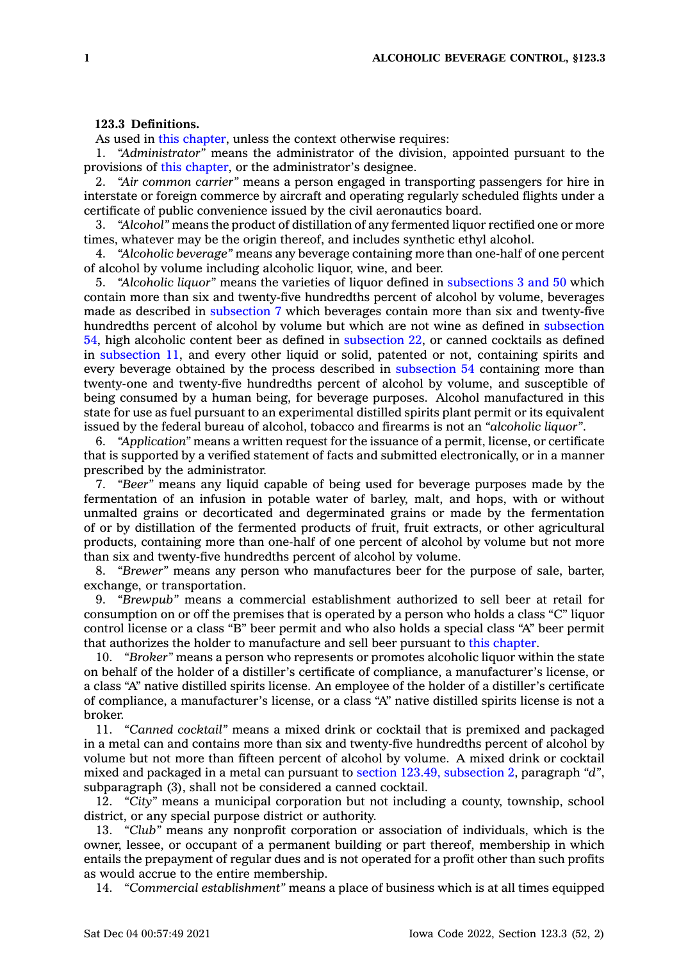## **123.3 Definitions.**

As used in this [chapter](https://www.legis.iowa.gov/docs/code//123.pdf), unless the context otherwise requires:

1. *"Administrator"* means the administrator of the division, appointed pursuant to the provisions of this [chapter](https://www.legis.iowa.gov/docs/code//123.pdf), or the administrator's designee.

2. *"Air common carrier"* means <sup>a</sup> person engaged in transporting passengers for hire in interstate or foreign commerce by aircraft and operating regularly scheduled flights under <sup>a</sup> certificate of public convenience issued by the civil aeronautics board.

3. *"Alcohol"* means the product of distillation of any fermented liquor rectified one or more times, whatever may be the origin thereof, and includes synthetic ethyl alcohol.

4. *"Alcoholic beverage"* means any beverage containing more than one-half of one percent of alcohol by volume including alcoholic liquor, wine, and beer.

5. *"Alcoholic liquor"* means the varieties of liquor defined in [subsections](https://www.legis.iowa.gov/docs/code/123.3.pdf) 3 and 50 which contain more than six and twenty-five hundredths percent of alcohol by volume, beverages made as described in [subsection](https://www.legis.iowa.gov/docs/code/123.3.pdf) 7 which beverages contain more than six and twenty-five hundredths percent of alcohol by volume but which are not wine as defined in [subsection](https://www.legis.iowa.gov/docs/code/123.3.pdf) [54](https://www.legis.iowa.gov/docs/code/123.3.pdf), high alcoholic content beer as defined in [subsection](https://www.legis.iowa.gov/docs/code/123.3.pdf) 22, or canned cocktails as defined in [subsection](https://www.legis.iowa.gov/docs/code/123.3.pdf) 11, and every other liquid or solid, patented or not, containing spirits and every beverage obtained by the process described in [subsection](https://www.legis.iowa.gov/docs/code/123.3.pdf) 54 containing more than twenty-one and twenty-five hundredths percent of alcohol by volume, and susceptible of being consumed by <sup>a</sup> human being, for beverage purposes. Alcohol manufactured in this state for use as fuel pursuant to an experimental distilled spirits plant permit or its equivalent issued by the federal bureau of alcohol, tobacco and firearms is not an *"alcoholic liquor"*.

6. *"Application"* means <sup>a</sup> written request for the issuance of <sup>a</sup> permit, license, or certificate that is supported by <sup>a</sup> verified statement of facts and submitted electronically, or in <sup>a</sup> manner prescribed by the administrator.

7. *"Beer"* means any liquid capable of being used for beverage purposes made by the fermentation of an infusion in potable water of barley, malt, and hops, with or without unmalted grains or decorticated and degerminated grains or made by the fermentation of or by distillation of the fermented products of fruit, fruit extracts, or other agricultural products, containing more than one-half of one percent of alcohol by volume but not more than six and twenty-five hundredths percent of alcohol by volume.

8. *"Brewer"* means any person who manufactures beer for the purpose of sale, barter, exchange, or transportation.

9. *"Brewpub"* means <sup>a</sup> commercial establishment authorized to sell beer at retail for consumption on or off the premises that is operated by <sup>a</sup> person who holds <sup>a</sup> class "C" liquor control license or <sup>a</sup> class "B" beer permit and who also holds <sup>a</sup> special class "A" beer permit that authorizes the holder to manufacture and sell beer pursuant to this [chapter](https://www.legis.iowa.gov/docs/code//123.pdf).

10. *"Broker"* means <sup>a</sup> person who represents or promotes alcoholic liquor within the state on behalf of the holder of <sup>a</sup> distiller's certificate of compliance, <sup>a</sup> manufacturer's license, or <sup>a</sup> class "A" native distilled spirits license. An employee of the holder of <sup>a</sup> distiller's certificate of compliance, <sup>a</sup> manufacturer's license, or <sup>a</sup> class "A" native distilled spirits license is not <sup>a</sup> broker.

11. *"Canned cocktail"* means <sup>a</sup> mixed drink or cocktail that is premixed and packaged in <sup>a</sup> metal can and contains more than six and twenty-five hundredths percent of alcohol by volume but not more than fifteen percent of alcohol by volume. A mixed drink or cocktail mixed and packaged in <sup>a</sup> metal can pursuant to section 123.49, [subsection](https://www.legis.iowa.gov/docs/code/123.49.pdf) 2, paragraph *"d"*, subparagraph (3), shall not be considered <sup>a</sup> canned cocktail.

12. *"City"* means <sup>a</sup> municipal corporation but not including <sup>a</sup> county, township, school district, or any special purpose district or authority.

13. *"Club"* means any nonprofit corporation or association of individuals, which is the owner, lessee, or occupant of <sup>a</sup> permanent building or part thereof, membership in which entails the prepayment of regular dues and is not operated for <sup>a</sup> profit other than such profits as would accrue to the entire membership.

14. *"Commercial establishment"* means <sup>a</sup> place of business which is at all times equipped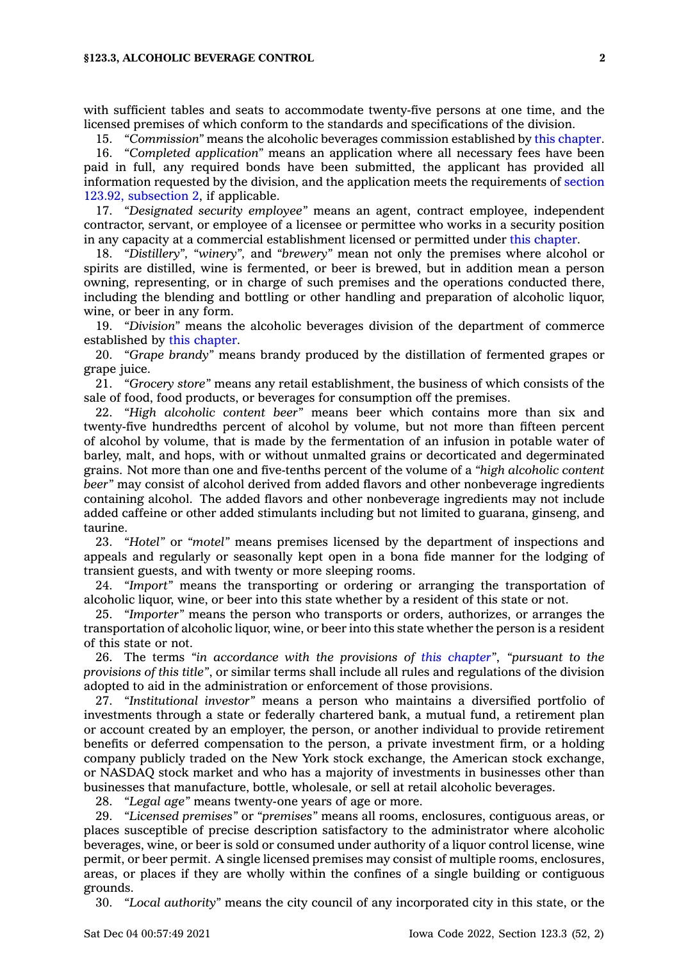with sufficient tables and seats to accommodate twenty-five persons at one time, and the licensed premises of which conform to the standards and specifications of the division.

15. *"Commission"* means the alcoholic beverages commission established by this [chapter](https://www.legis.iowa.gov/docs/code//123.pdf).

16. *"Completed application"* means an application where all necessary fees have been paid in full, any required bonds have been submitted, the applicant has provided all information requested by the division, and the application meets the requirements of [section](https://www.legis.iowa.gov/docs/code/123.92.pdf) 123.92, [subsection](https://www.legis.iowa.gov/docs/code/123.92.pdf) 2, if applicable.

17. *"Designated security employee"* means an agent, contract employee, independent contractor, servant, or employee of <sup>a</sup> licensee or permittee who works in <sup>a</sup> security position in any capacity at <sup>a</sup> commercial establishment licensed or permitted under this [chapter](https://www.legis.iowa.gov/docs/code//123.pdf).

18. *"Distillery", "winery",* and *"brewery"* mean not only the premises where alcohol or spirits are distilled, wine is fermented, or beer is brewed, but in addition mean <sup>a</sup> person owning, representing, or in charge of such premises and the operations conducted there, including the blending and bottling or other handling and preparation of alcoholic liquor, wine, or beer in any form.

19. *"Division"* means the alcoholic beverages division of the department of commerce established by this [chapter](https://www.legis.iowa.gov/docs/code//123.pdf).

20. *"Grape brandy"* means brandy produced by the distillation of fermented grapes or grape juice.

21. *"Grocery store"* means any retail establishment, the business of which consists of the sale of food, food products, or beverages for consumption off the premises.

22. *"High alcoholic content beer"* means beer which contains more than six and twenty-five hundredths percent of alcohol by volume, but not more than fifteen percent of alcohol by volume, that is made by the fermentation of an infusion in potable water of barley, malt, and hops, with or without unmalted grains or decorticated and degerminated grains. Not more than one and five-tenths percent of the volume of <sup>a</sup> *"high alcoholic content beer"* may consist of alcohol derived from added flavors and other nonbeverage ingredients containing alcohol. The added flavors and other nonbeverage ingredients may not include added caffeine or other added stimulants including but not limited to guarana, ginseng, and taurine.

23. *"Hotel"* or *"motel"* means premises licensed by the department of inspections and appeals and regularly or seasonally kept open in <sup>a</sup> bona fide manner for the lodging of transient guests, and with twenty or more sleeping rooms.

24. *"Import"* means the transporting or ordering or arranging the transportation of alcoholic liquor, wine, or beer into this state whether by <sup>a</sup> resident of this state or not.

25. *"Importer"* means the person who transports or orders, authorizes, or arranges the transportation of alcoholic liquor, wine, or beer into this state whether the person is <sup>a</sup> resident of this state or not.

26. The terms *"in accordance with the provisions of this [chapter](https://www.legis.iowa.gov/docs/code//123.pdf)"*, *"pursuant to the provisions of this title"*, or similar terms shall include all rules and regulations of the division adopted to aid in the administration or enforcement of those provisions.

27. *"Institutional investor"* means <sup>a</sup> person who maintains <sup>a</sup> diversified portfolio of investments through <sup>a</sup> state or federally chartered bank, <sup>a</sup> mutual fund, <sup>a</sup> retirement plan or account created by an employer, the person, or another individual to provide retirement benefits or deferred compensation to the person, <sup>a</sup> private investment firm, or <sup>a</sup> holding company publicly traded on the New York stock exchange, the American stock exchange, or NASDAQ stock market and who has <sup>a</sup> majority of investments in businesses other than businesses that manufacture, bottle, wholesale, or sell at retail alcoholic beverages.

28. *"Legal age"* means twenty-one years of age or more.

29. *"Licensed premises"* or *"premises"* means all rooms, enclosures, contiguous areas, or places susceptible of precise description satisfactory to the administrator where alcoholic beverages, wine, or beer is sold or consumed under authority of <sup>a</sup> liquor control license, wine permit, or beer permit. A single licensed premises may consist of multiple rooms, enclosures, areas, or places if they are wholly within the confines of <sup>a</sup> single building or contiguous grounds.

30. *"Local authority"* means the city council of any incorporated city in this state, or the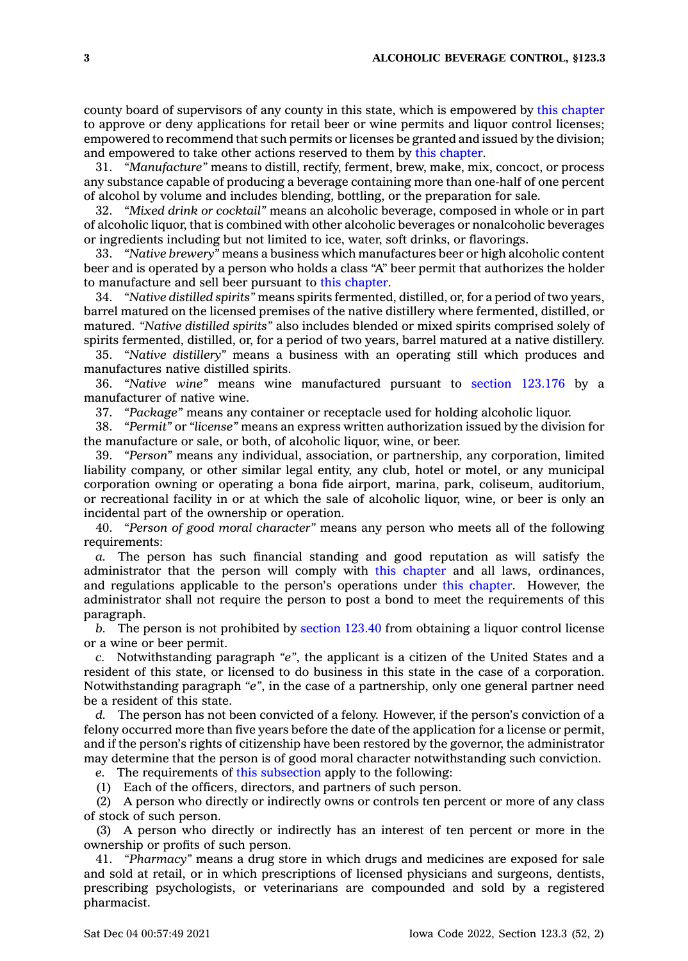county board of supervisors of any county in this state, which is empowered by this [chapter](https://www.legis.iowa.gov/docs/code//123.pdf) to approve or deny applications for retail beer or wine permits and liquor control licenses; empowered to recommend that such permits or licenses be granted and issued by the division; and empowered to take other actions reserved to them by this [chapter](https://www.legis.iowa.gov/docs/code//123.pdf).

31. *"Manufacture"* means to distill, rectify, ferment, brew, make, mix, concoct, or process any substance capable of producing <sup>a</sup> beverage containing more than one-half of one percent of alcohol by volume and includes blending, bottling, or the preparation for sale.

32. *"Mixed drink or cocktail"* means an alcoholic beverage, composed in whole or in part of alcoholic liquor, that is combined with other alcoholic beverages or nonalcoholic beverages or ingredients including but not limited to ice, water, soft drinks, or flavorings.

33. *"Native brewery"* means <sup>a</sup> business which manufactures beer or high alcoholic content beer and is operated by <sup>a</sup> person who holds <sup>a</sup> class "A" beer permit that authorizes the holder to manufacture and sell beer pursuant to this [chapter](https://www.legis.iowa.gov/docs/code//123.pdf).

34. *"Native distilled spirits"* means spirits fermented, distilled, or, for <sup>a</sup> period of two years, barrel matured on the licensed premises of the native distillery where fermented, distilled, or matured. *"Native distilled spirits"* also includes blended or mixed spirits comprised solely of spirits fermented, distilled, or, for <sup>a</sup> period of two years, barrel matured at <sup>a</sup> native distillery.

35. *"Native distillery"* means <sup>a</sup> business with an operating still which produces and manufactures native distilled spirits.

36. *"Native wine"* means wine manufactured pursuant to section [123.176](https://www.legis.iowa.gov/docs/code/123.176.pdf) by <sup>a</sup> manufacturer of native wine.

37. *"Package"* means any container or receptacle used for holding alcoholic liquor.

38. *"Permit"* or *"license"* means an express written authorization issued by the division for the manufacture or sale, or both, of alcoholic liquor, wine, or beer.

39. *"Person"* means any individual, association, or partnership, any corporation, limited liability company, or other similar legal entity, any club, hotel or motel, or any municipal corporation owning or operating <sup>a</sup> bona fide airport, marina, park, coliseum, auditorium, or recreational facility in or at which the sale of alcoholic liquor, wine, or beer is only an incidental part of the ownership or operation.

40. *"Person of good moral character"* means any person who meets all of the following requirements:

*a.* The person has such financial standing and good reputation as will satisfy the administrator that the person will comply with this [chapter](https://www.legis.iowa.gov/docs/code//123.pdf) and all laws, ordinances, and regulations applicable to the person's operations under this [chapter](https://www.legis.iowa.gov/docs/code//123.pdf). However, the administrator shall not require the person to post <sup>a</sup> bond to meet the requirements of this paragraph.

*b.* The person is not prohibited by [section](https://www.legis.iowa.gov/docs/code/123.40.pdf) 123.40 from obtaining <sup>a</sup> liquor control license or <sup>a</sup> wine or beer permit.

*c.* Notwithstanding paragraph *"e"*, the applicant is <sup>a</sup> citizen of the United States and <sup>a</sup> resident of this state, or licensed to do business in this state in the case of <sup>a</sup> corporation. Notwithstanding paragraph *"e"*, in the case of <sup>a</sup> partnership, only one general partner need be <sup>a</sup> resident of this state.

*d.* The person has not been convicted of <sup>a</sup> felony. However, if the person's conviction of <sup>a</sup> felony occurred more than five years before the date of the application for <sup>a</sup> license or permit, and if the person's rights of citizenship have been restored by the governor, the administrator may determine that the person is of good moral character notwithstanding such conviction.

*e.* The requirements of this [subsection](https://www.legis.iowa.gov/docs/code/123.3.pdf) apply to the following:

(1) Each of the officers, directors, and partners of such person.

(2) A person who directly or indirectly owns or controls ten percent or more of any class of stock of such person.

(3) A person who directly or indirectly has an interest of ten percent or more in the ownership or profits of such person.

41. *"Pharmacy"* means <sup>a</sup> drug store in which drugs and medicines are exposed for sale and sold at retail, or in which prescriptions of licensed physicians and surgeons, dentists, prescribing psychologists, or veterinarians are compounded and sold by <sup>a</sup> registered pharmacist.